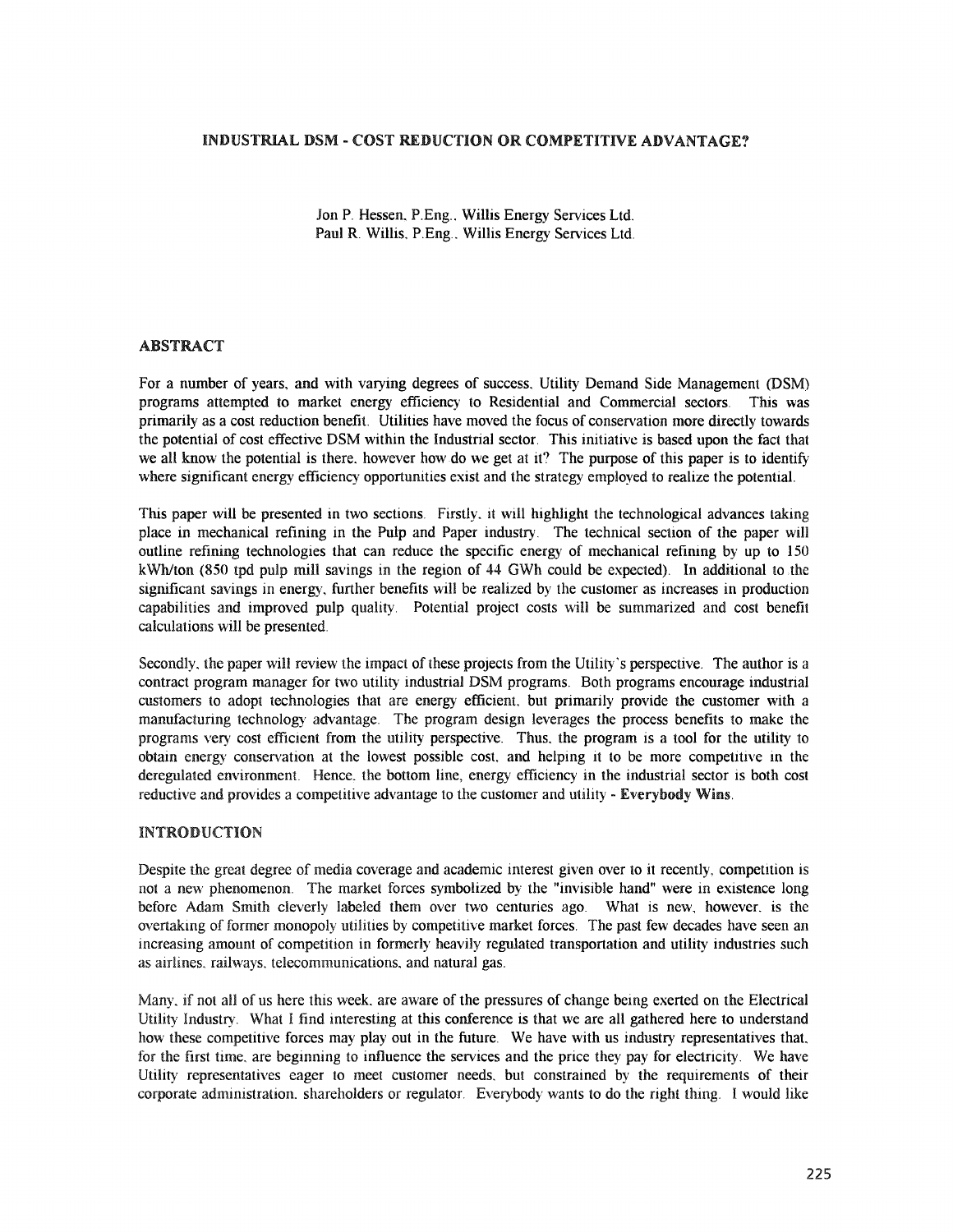## INDUSTRIAL DSM - COST REDUCTION OR COMPETITIVE ADVANTAGE?

Jon P. Hessen, P.Eng., Willis Energy Services Ltd. Paul R. Willis, P.Eng.. Willis Energy Services Ltd.

## ABSTRACT

For a number of years, and with varying degrees of success. Utility Demand Side Management (DSM) programs attempted to market energy efficiency to Residential and Commercial sectors. This was primarily as a cost reduction benefit. Utilities have moved the focus of conservation more directly towards the potential of cost effective DSM within the Industrial sector. This initiative is based upon the fact that we all know the potential is there, however how do we get at it? The purpose of this paper is to identify where significant energy efficiency opportunities exist and the strategy employed to realize the potential.

This paper will be presented in two sections. Firstly it will highlight the technological advances taking place in mechanical refining in the Pulp and Paper industry. The technical section of the paper will outline refining technologies that can reduce the specific energy of mechanical refining by up to 150 kWh/ton (850 tpd pulp mill savings in the region of 44 GWh could be expected). In additional to.the significant savings in energy, further benefits will be realized by the customer as increases in production capabilities and improved pulp quality. Potential project costs will be summarized and cost benefit calculations will be presented.

Secondly, the paper will review the impact of these projects from the Utility's perspective. The author is a contract program manager for two utility industrial DSM programs. Both programs encourage industrial customers to adopt technologies that are energy efficient, but primarily provide the customer with a manufacturing technology advantage. The program design leverages the process benefits to make the programs very cost efficient from the utility perspective. Thus, the program is a tool for the utility to obtain energy conservation at the lowest possible cost, and helping it to be more competitive in the deregulated environment. Hence. the bottom line, energy efficiency in the industrial sector is both cost reductive and provides a competitive advantage to the customer and utility - Everybody Wins.

#### INTRODUCTION

Despite the great degree of media coverage and academic interest given over to it recently, competition is not a new phenomenon. The market forces symbolized by the "invisible hand" were in existence long before Adam Smith cleverly labeled them over two centuries ago. What is new, however, is the overtaking of former monopoly utilities by competitive market forces. The past few decades have seen an increasing amount of competition in formerly heavily regulated transportation and utility industries such as airlines, railways, telecommunications, and natural gas.

Many, if not all of us here this week, are aware of the pressures of change being exerted on the Electrical Utility Industry. What I find interesting at this conference is that we are all gathered here to understand how these competitive forces may play out in the future. We have with us industry representatives that, for the first time. are beginning to influence the services and the price they pay for electricity. We have Utility representatives eager to meet customer needs. but constrained by the requirements of their corporate administration. shareholders or regulator. Everybody wants to do the right thing. I would like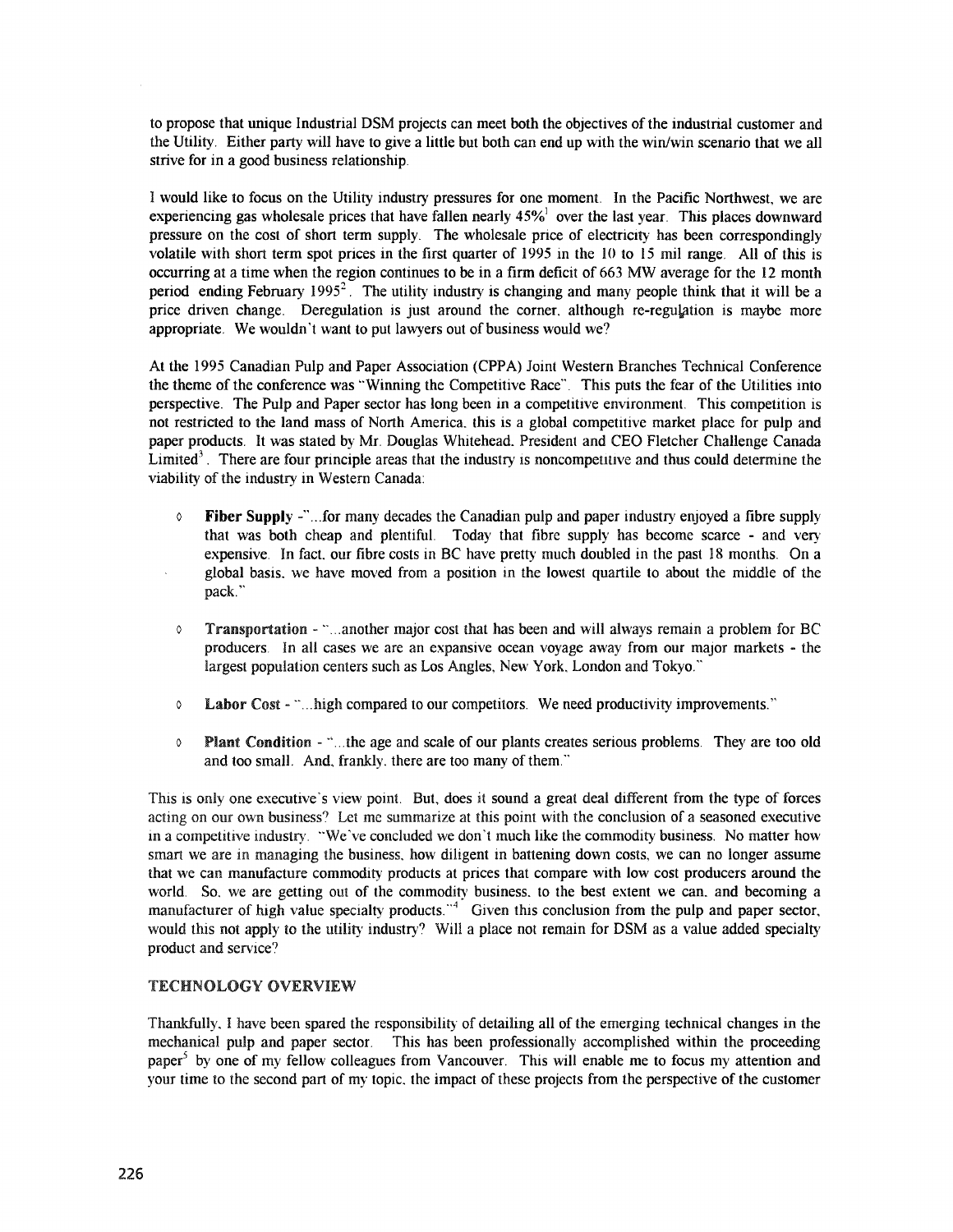to propose that unique Industrial DSM projects can meet both the objectives ofthe industrial customer and the Utility. Either party will have to give a little but both can end up with the win/win scenario that we all strive for in a good business relationship.

I would like to focus on the Utility industry pressures for one moment. In the Pacific Northwest, we are experiencing gas wholesale prices that have fallen nearly  $45\%$  over the last year. This places downward pressure on the cost of short term supply. The wholesale price of electricity has been correspondingly volatile with short term spot prices in the first quarter of 1995 in the 10 to 15 mil range. All of this is occurring at a time when the region continues to be in a firm deficit of 663 MW average for the 12 month period ending February 1995<sup>2</sup>. The utility industry is changing and many people think that it will be a price driven change. Deregulation is just around the corner, although re-regulation is maybe more appropriate. We wouldn't want to put lawyers out of business would we?

At the 1995 Canadian Pulp and Paper Association (CPPA) Joint Western Branches Technical Conference the theme of the conference was "Winning the Competitive Race". This puts the fear of the Utilities into perspective. The Pulp and Paper sector has long been in a competitive environment. This competition is not restricted to the land mass of North America.. this is a global competitive market place for pulp and paper products. It was stated by Mr. Douglas Whitehead.. President and CEO Fletcher Challenge Canada Limited<sup>3</sup>. There are four principle areas that the industry is noncompetitive and thus could determine the viability of the industry in Western Canada:

- $\circ$  Fiber Supply -"...for many decades the Canadian pulp and paper industry enjoyed a fibre supply that was both cheap and plentiful. Today that fibre supply has become scarce - and very expensive. In fact, our fibre costs in BC have pretty much doubled in the past 18 months. On a global basis, we have moved from a position in the lowest quartile to about the middle of the pack."
- Transportation "...another major cost that has been and will always remain a problem for BC producers. In all cases we are an expansive ocean voyage away from our major markets - the largest population centers such as Los Angles, New York, London and Tokyo."
- o Labor Cost ·..... high compared to our competitors. We need productivity improvernents.'~
- $\circ$  Plant Condition "...the age and scale of our plants creates serious problems. They are too old and too small. And, frankly, there are too many of them."

This is only one executive's view point. But, does it sound a great deal different from the type of forces acting on our own business? Let me summarize at this point with the conclusion of a seasoned executive in a competitive industry. "We've concluded we don't much like the commodity business. No matter how smart we are in managing the business, how diligent in battening down costs, we can no longer assume that we can manufacture commodity products at prices that compare with low cost producers around the world. So, we are getting out of the commodity business, to the best extent we can, and becoming a manufacturer of high value specialty products.  $4$  Given this conclusion from the pulp and paper sector, would this not apply to the utility industry? Will a place not remain for DSM as a value added specialty product and service?

## TECHNOLOGY OVERVIEW

Thankfully\_I have been spared the responsibility of detailing all of the emerging technical changes in the mechanical pulp and paper sector. This has been professionally accomplished within the proceeding paper<sup>5</sup> by one of my fellow colleagues from Vancouver. This will enable me to focus my attention and your time to the second part of my topic, the impact of these projects from the perspective of the customer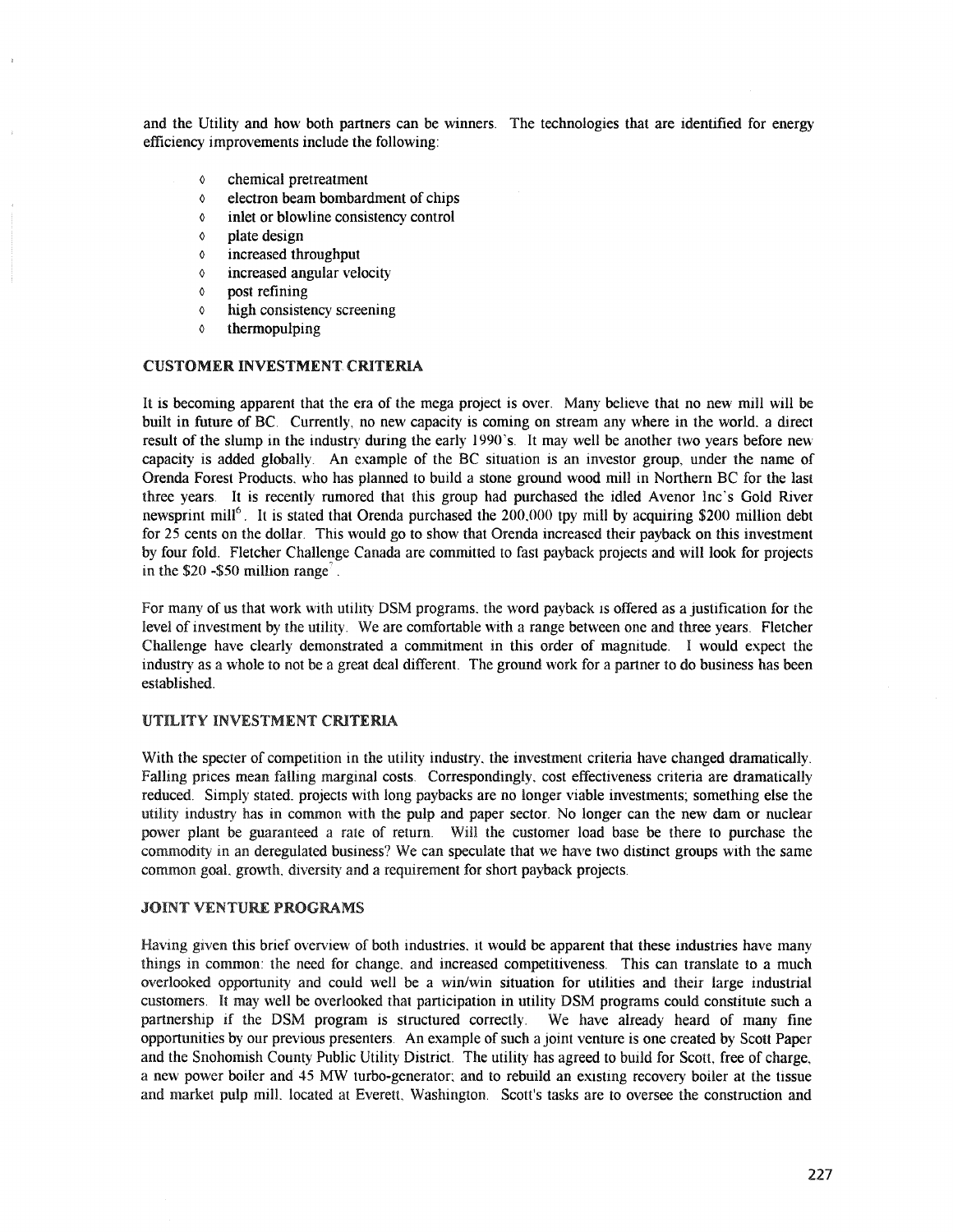and the Utility and how both partners can be winners. The technologies that are identified for energy efficiency improvements include the following:

- o chemical pretreatment
- o electron beam bombardment of chips
- o inlet or blowline consistency control
- o plate design
- o increased throughput
- o increased angular velocity
- o post refining
- o high consistency screening
- o thermopulping

#### CUSTOMER INVESTMENT, CRITERIA

It is becoming apparent that the era of the mega project is over. Many believe that no new mill will be built in future of BC. Currently, no new capacity is coming on stream any where in the world. a direct result of the slump in the industry during the early 1990's. It may well be another two years before new capacity is added globally. An example of the BC situation is an investor group, under the name of Orenda Forest Products. who has planned to build a stone ground wood mill in Northern BC for the last three years. It is recently rumored that this group had purchased the idled Avenor Inc's Gold River newsprint mill<sup>6</sup>. It is stated that Orenda purchased the  $200.000$  tpy mill by acquiring \$200 million debt for 25 cents on the dollar. This would go to show that Orenda increased their payback on this investment by four fold. Fletcher Challenge Canada are committed to fast payback projects and will look for projects in the  $$20 - $50$  million range<sup>7</sup>.

For many of us that work with utility DSM programs. the word payback is offered as a justification for the level of investment by the utility. We are comfortable with a range between one and three years. Fletcher Challenge have clearly demonstrated a commitment in this order of magnitude. I would expect the industry as a whole to not be a great deal different. The ground work for a partner to do business has been established.

# UTILITY INVESTMENT CRITERIA

With the specter of competition in the utility industry, the investment criteria have changed dramatically. Falling prices mean falling marginal costs. Correspondingly, cost effectiveness criteria are dramatically reduced. Simply stated. projects with long paybacks are no longer viable investments; something else the industry has in common with the pulp and paper sector. No longer can the new dam or nuclear power plant be guaranteed a rate of return. Will the customer load base be there to purchase the commodity in an deregulated business? We can speculate that we have two distinct groups with the same common goal. growth. diversity and a requirement for short payback projects.

### JOINT VENTURE PROGRAMS

Having given this brief overview of both industries, it would be apparent that these industries have many things in common: the need for change. and increased competitiveness. This can translate to a much overlooked opportunity and could well be a win/win situation for utilities and their large industrial customers. It may well be overlooked that participation in utility DSM programs could constitute such a partnership if the DSM program is structured correctly. We have already heard of many fine opportunities by our previous presenters. An example of such a joint venture is one created by Scott Paper and the Snohomish County Public Utility District. The utility has agreed to build for Scott, free of charge, a new power boiler and 45 MW turbo-generator; and to rebuild an existing recovery boiler at the tissue and market pulp mill. located at Everett, Washington. Scott's tasks are to oversee the construction and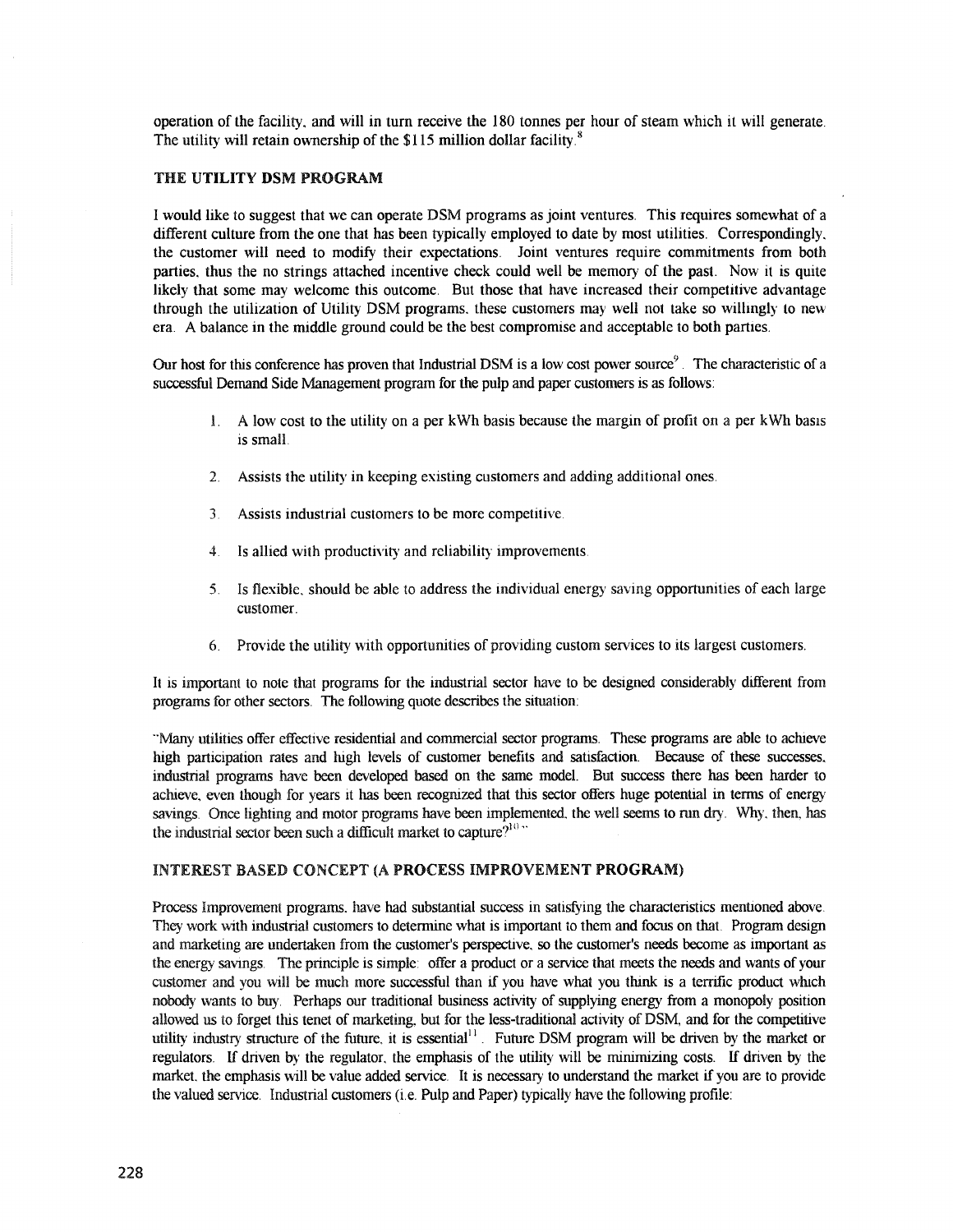operation of the facility., and will in turn receive the 180 tonnes per hour of steam which it will generate. The utility will retain ownership of the \$115 million dollar facility.<sup>8</sup>

## THE UTILITY DSM PROGRAM

I would like to suggest that we can operate DSM programs as joint ventures. This requires somewhat of a different culture from the one that has been typically employed to date by most utilities. Correspondingly, the customer will need to modify their expectations. Joint ventures require commitments from both parties, thus the no strings attached incentive check could well be memory of the past. Now it is quite likely that some may welcome this outcome. But those that have increased their competitive advantage through the utilization of Utility DSM programs., these customers may well not take so willIngly to new era. A balance in the middle ground could be the best compromise and acceptable to both parties.

Our host for this conference has proven that Industrial DSM is a low cost power source<sup>9</sup>. The characteristic of a successful Demand Side Management program for the pulp and paper customers is as follows:

- 1. A low cost to the utility on a per kWh basis because the margin of profit on a per kWh basis is small.
- 2. Assists the utility in keeping existing customers and adding additional ones.
- 3. Assists industrial customers to be more competitive.
- 4. Is allied with productivity and reliability improvements.
- 5. Is flexible., should be able to address the individual energy saving opportunities of each large customer.
- 6. Provide the utility with opportunities of providing custom services to its largest customers.

It is important to note that programs for the industrial sector have to be designed considerably different from programs for other sectors. The following quote describes the situation:

""Many utilities offer effective residential and commercial sector programs. These programs are able to achieve high participation rates and high levels of customer benefits and satisfaction. Because of these successes, industrial programs have been developed based on the same model. But success there has been harder to achieve, even though for years it has been recognized that this sector offers huge potential in terms of energy savings. Once lighting and motor programs have been implemented, the well seems to run dry. Why, then, has the industrial sector been such a difficult market to capture?<sup>10</sup>  $\cdot$ 

#### INTEREST BASED CONCEPT (A PROCESS IMPROVEMENT PROGRAM)

Process Improvement programs, have had substantial success in satisfying the characteristics mentioned above. They work with industrial customers to determine what is important to them and focus on that. Program design and marketing are undertaken from the customer's perspective., so the customer's needs become as important as the energy savings. The principle is simple: offer a product or a service that meets the needs and wants of your customer and you will be much more successful than if you have what you think is a terrific product which nobody wants to buy. Perhaps our traditional business activity of supplying energy from a monopoly position allowed us to forget this tenet of marketing, but for the less-traditional activity of DSM, and for the competitive utility industry structure of the future, it is essential<sup>11</sup>. Future DSM program will be driven by the market or regulators. If driven by the regulator, the emphasis of the utility will be minimizing costs. If driven by the market, the emphasis will be value added service. It is necessary to understand the market if you are to provide the valued service. Industrial customers (i.e. Pulp and Paper) typically have the following profile: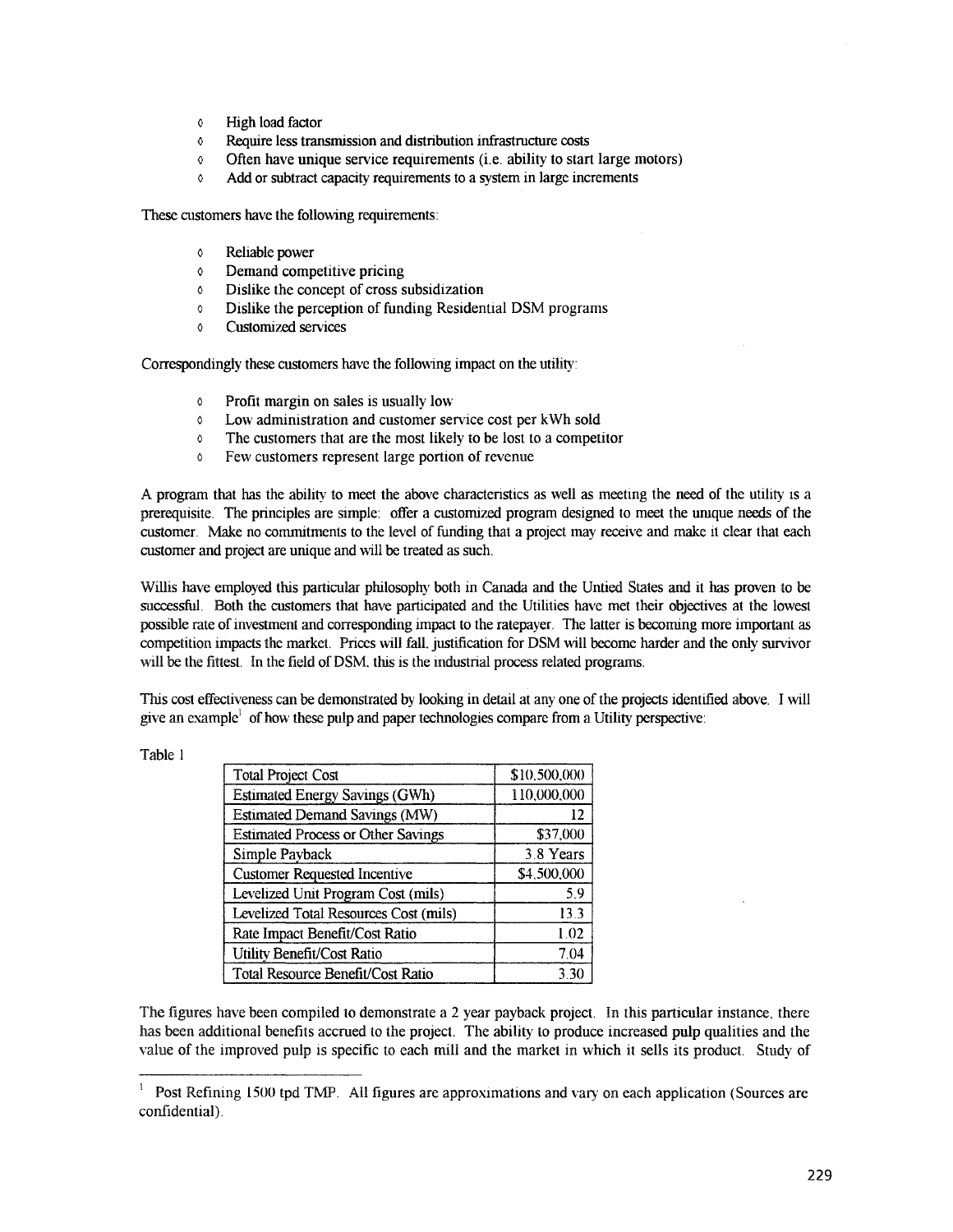- o High load factor
- o Require less transmission and distribution infrastructure costs
- o Often have unique service requirements (i.e. ability to start large motors)
- o Add or subtract capacity requirements to a system in large increments

These customers have the following requirements:

- o Reliable power
- o Demand competitive pricing
- o Dislike the concept of cross subsidization
- $\circ$  Dislike the perception of funding Residential DSM programs
- o Customized services

Correspondingly these customers have the following impact on the utility:

- o Profit margin on sales is usually low
- o Low administration and customer service cost per kWh sold
- o The customers that are the most likely to be lost to a competitor
- o Few customers represent large portion of revenue

A program that has the ability to meet the above characteristics as well as meeting the need of the utility is a prerequisite. The principles are simple: offer a customized program designed to meet the umque needs of the customer. Make no commitments to the level of funding that a project may receive and make it clear that each customer and project are unique and will be treated as such.

Willis have employed this particular philosophy both in Canada and the Untied States and it has proven to be successful. Both the customers that have participated and the Utilities have met their objectives at the lowest possible rate ofinvestment and corresponding impact to the ratepayer. The latter is becoming more important as competition impacts the market. Prices will falL justification for DSM will become harder and the only survivor will be the fittest. In the field of DSM, this is the industrial process related programs.

'This cost effectiveness can be demonstrated by looking in detail at anyone ofthe projects identified above. I will give an example<sup>1</sup> of how these pulp and paper technologies compare from a Utility perspective:

| <b>Total Project Cost</b>                 | \$10,500,000 |
|-------------------------------------------|--------------|
| <b>Estimated Energy Savings (GWh)</b>     | 110,000,000  |
| <b>Estimated Demand Savings (MW)</b>      | 12           |
| <b>Estimated Process or Other Savings</b> | \$37,000     |
| Simple Payback                            | 3.8 Years    |
| <b>Customer Requested Incentive</b>       | \$4,500,000  |
| Levelized Unit Program Cost (mils)        | 5.9          |
| Levelized Total Resources Cost (mils)     | 13.3         |
| Rate Impact Benefit/Cost Ratio            | 1.02         |
| Utility Benefit/Cost Ratio                | 7.04         |
| Total Resource Benefit/Cost Ratio         | 3.30         |

The figures have been compiled to demonstrate a 2 year payback project. In this particular instance, there has been additional benefits accrued to the project. The ability to produce increased pulp qualities and the value of the improved pulp is specific to each mill and the market in which it sells its product. Study of

Table 1

<sup>&</sup>lt;sup>1</sup> Post Refining 1500 tpd TMP. All figures are approximations and vary on each application (Sources are confidential).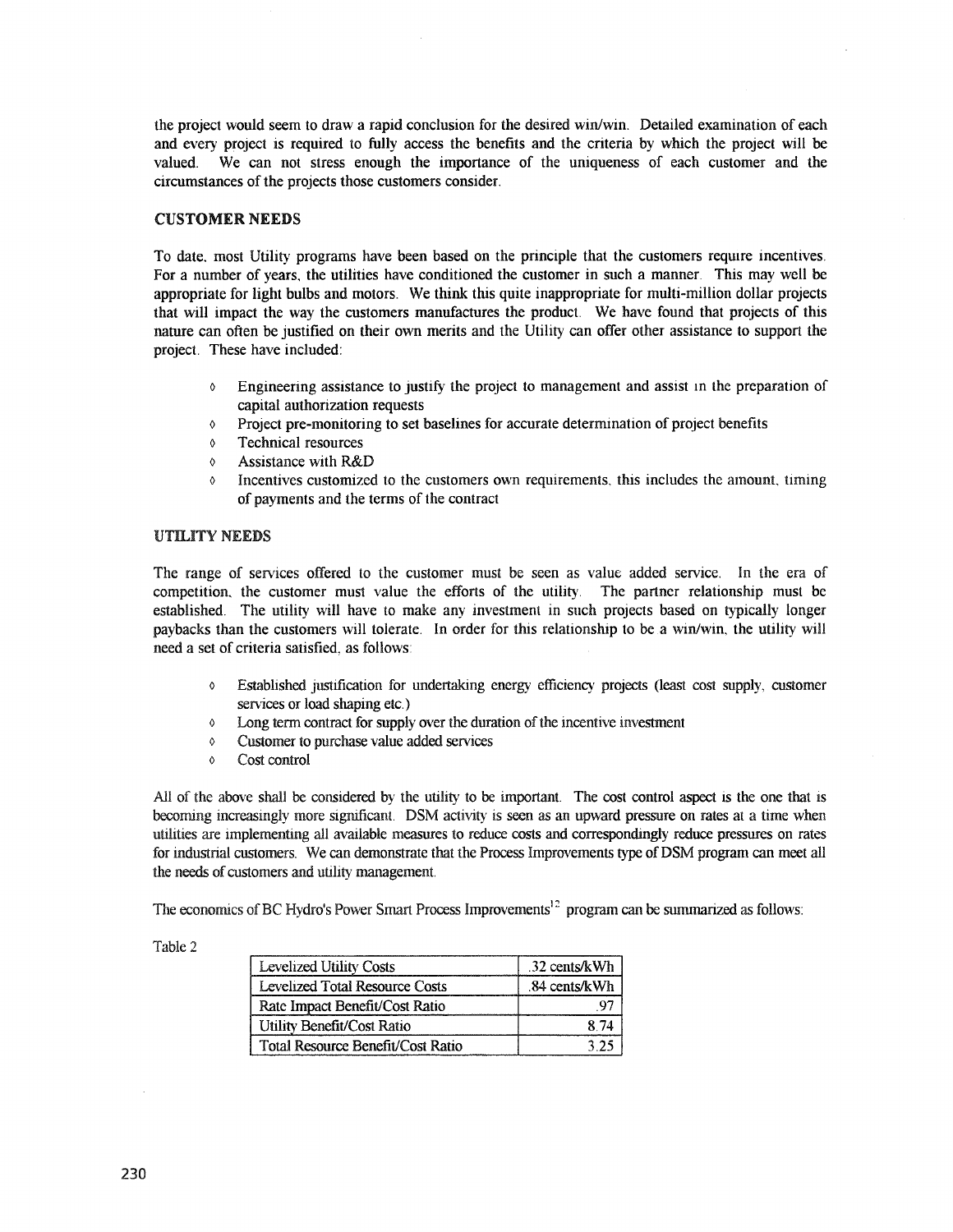the project would seem to draw a rapid conclusion for the desired win/win. Detailed examination of each and every project is required to fully access the benefits and the criteria by which the project will be valued. We can not stress enough the importance of the uniqueness of each customer and the circumstances of the projects those customers consider.

### CUSTOMER NEEDS

To date, most Utility programs have been based on the principle that the customers require incentives. For a number of years, the utilities have conditioned the customer in such a manner. This may well be appropriate for light bulbs and motors. We think this quite inappropriate for multi-million dollar projects that will impact the way the customers manufactures the product. We have found that projects of this nature can often be justified on their own merits and the Utility can offer other assistance to support the project. These have included:

- o Engineering assistance to justify the project to management and assist In the preparation of capital authorization requests
- o Project pre-monitoring to set baselines for accurate determination of project benefits
- o Technical resources
- o Assistance with R&D
- $\lozenge$  Incentives customized to the customers own requirements, this includes the amount, timing of payments and the terms of the contract

## UTILITY NEEDS

The range of services offered to the customer must be seen as value added service. In the era of competition, the customer must value the efforts of the utility. The partner relationship must be established. The utility will have to make any investment in such projects based on typically longer paybacks than the customers will tolerate. In order for this relationship to be. a win/win, the utility will need a set of criteria satisfied, as follows:

- o Established justification for undertaking energy efficiency projects (least cost supply, customer services or load shaping etc.)
- $\circ$  Long term contract for supply over the duration of the incentive investment
- o Customer to purchase value added services
- o Cost control

AU of the above shall be considered by the utility to be important. The cost control aspect is the one that is becoming increasingly more significant. DSM activity is seen as an upward pressure on rates at a time when utilities are implementing all available measures to reduce costs and correspondingly reduce pressures on rates for industrial customers. We can demonstrate that the Process Improvements type of DSM program can meet all the needs of customers and utility management.

The economics of BC Hydro's Power Smart Process Improvements<sup>12</sup> program can be summarized as follows:

Table 2

| <b>Levelized Utility Costs</b>    | .32 cents/kWh |
|-----------------------------------|---------------|
| Levelized Total Resource Costs    | .84 cents/kWh |
| Rate Impact Benefit/Cost Ratio    |               |
| Utility Benefit/Cost Ratio        |               |
| Total Resource Benefit/Cost Ratio |               |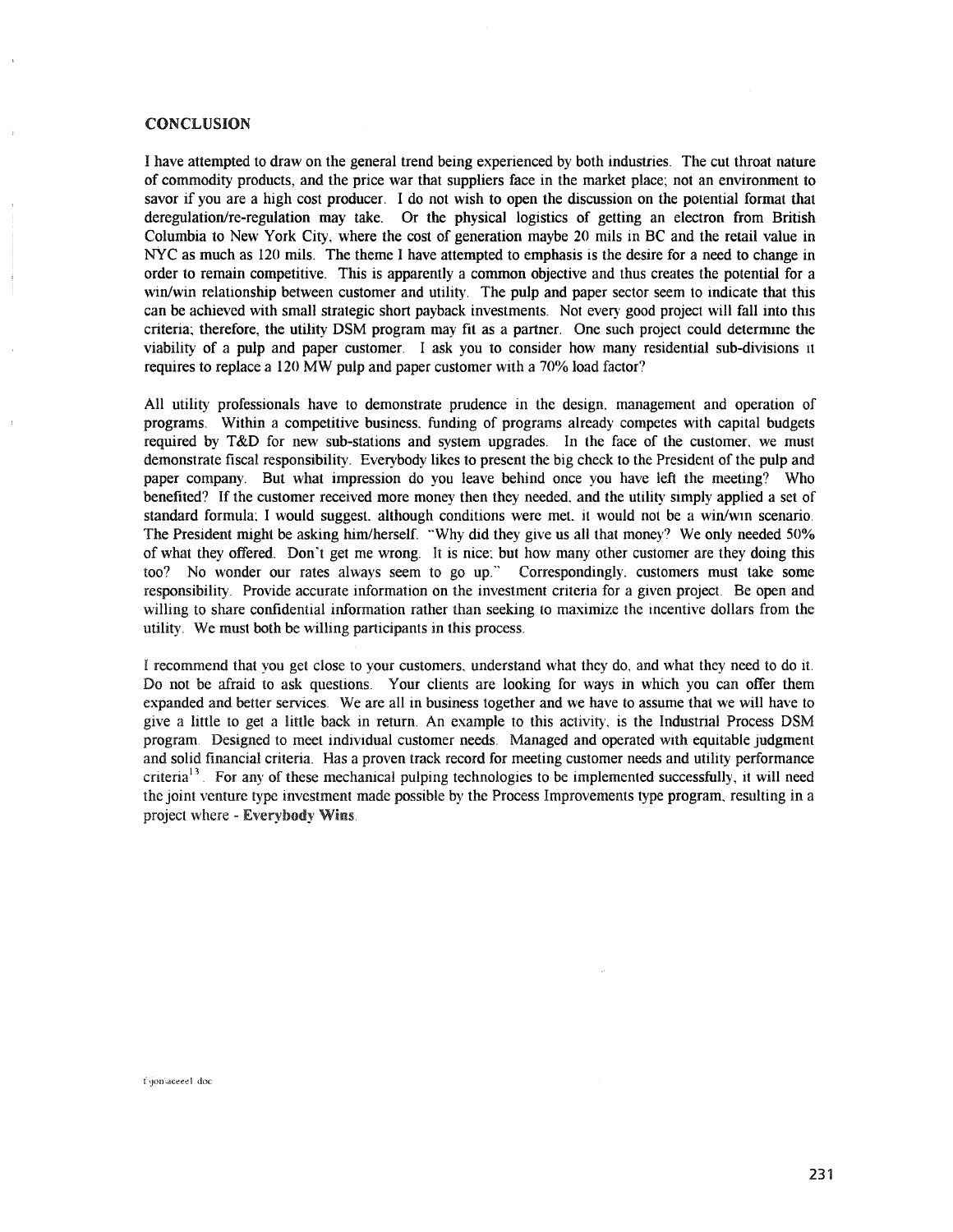#### **CONCLUSION**

I have attempted to draw on the general trend being experienced by both industries. The cut throat nature of commodity products, and the price war that suppliers face in the market place; not an environment to savor if you are a high cost producer. I do not wish to open the discussion on the potential format that deregulation/re-regulation may take. Or the physical logistics of getting an electron from British Columbia to New York City, where the cost of generation maybe 20 mils in BC and the retail value in NYC as much as 120 mils. The theme I have attempted to emphasis is the desire for a need to change in order to remain competitive. This is apparently a common objective and thus creates the potential for a win/win relationship between customer and utility. The pulp and paper sector seem to indicate that this can be achieved with small strategic short payback investments. Not every good project will fall into this criteria; therefore, the utility DSM program may fit as a partner. One such project could determine the viability of a pulp and paper customer. I ask you to consider how many residential sub-divisions it requires to replace a 120 MW pulp and paper customer with a 70% load factor?

All utility professionals have to demonstrate prudence in the design, management and operation of programs. Within a competitive business, funding of programs already competes with capital budgets required by T&D for new sub-stations and system upgrades. In the face of the customer, we must demonstrate fiscal responsibility. Everybody likes to present the big check to the President of the pulp and paper company. But what impression do you leave behind once you have left the meeting? Who benefited? If the customer received more money then they needed, and the utility simply applied a set of standard formula; I would suggest, although conditions were met, it would not be a win/win scenario. The President might be asking him/herself. "Why did they give us all that money? We only needed 50% of what they offered. Don't get me wrong. It is nice: but how many other customer are they doing this too? No wonder our rates always seem to go up." Correspondingly, customers must take some responsibility. Provide accurate information on the investment criteria for a given project. Be open and willing to share confidential information rather than seeking to maximize the incentive dollars from the utility. We must both be willing participants in this process.

I recommend that you get close to your customers, understand what they do, and what they need to do it. Do not be afraid to ask questions. Your clients are looking for ways in which you can offer them expanded and better services. We are all in business together and we have to assume that we will have to give a little to get a little back in return. An example to this activity, is the Industrial Process DSM program. Designed to meet individual customer needs. Managed and operated with equitable judgment and solid financial criteria. Has a proven track record for meeting customer needs and utility performance criteria<sup>13</sup>. For any of these mechanical pulping technologies to be implemented successfully, it will need the joint venture type investment made possible by the Process Improvements type program, resulting in a project where - Everybody Wins.

f/jon/aceee1.doc